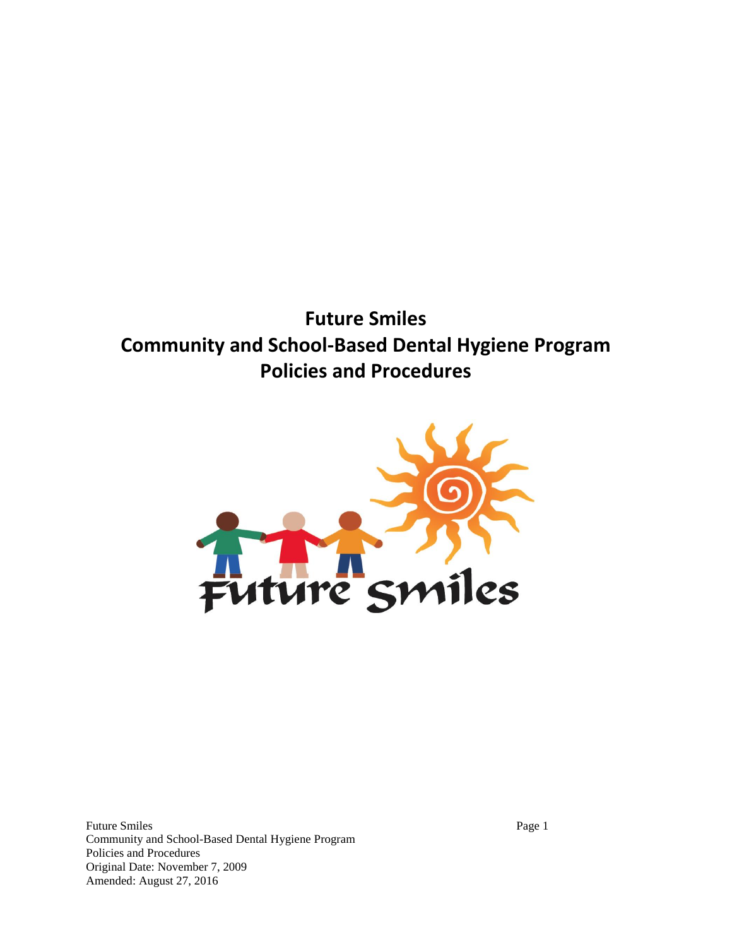**Future Smiles Community and School-Based Dental Hygiene Program Policies and Procedures**



Future Smiles Page 1 Community and School-Based Dental Hygiene Program Policies and Procedures Original Date: November 7, 2009 Amended: August 27, 2016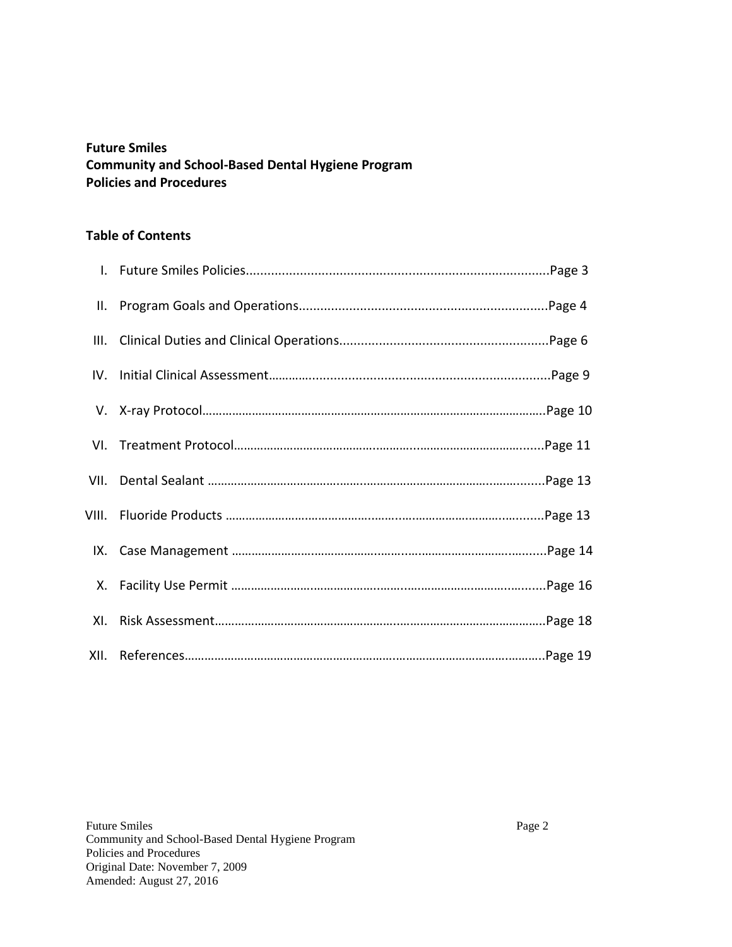# **Future Smiles Community and School-Based Dental Hygiene Program Policies and Procedures**

#### **Table of Contents**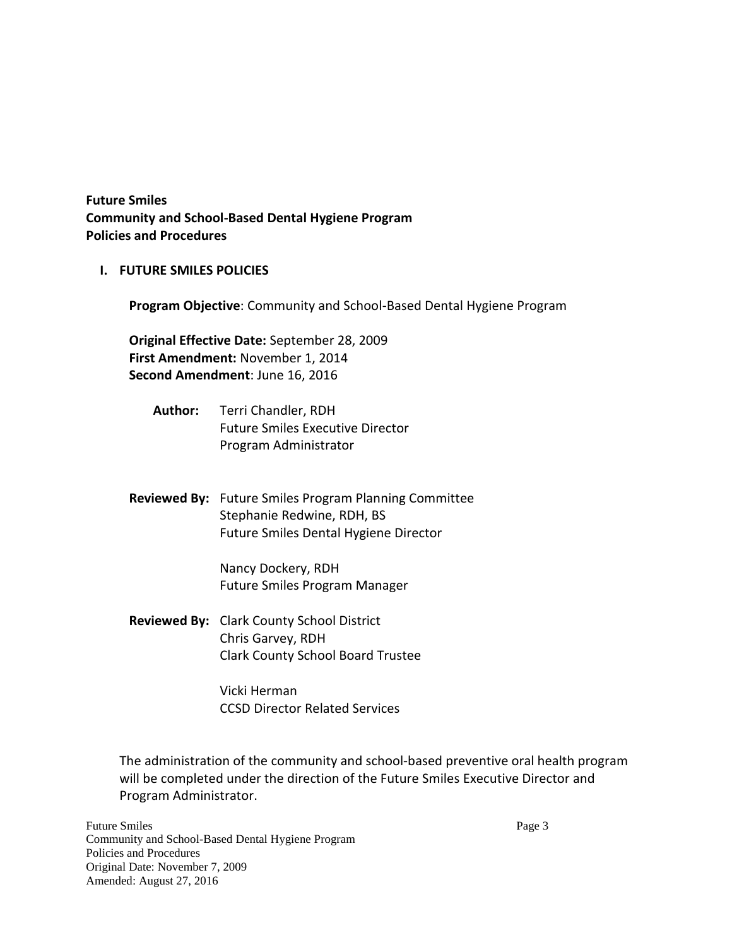**Future Smiles Community and School-Based Dental Hygiene Program Policies and Procedures** 

**I. FUTURE SMILES POLICIES**

**Program Objective**: Community and School-Based Dental Hygiene Program

**Original Effective Date:** September 28, 2009 **First Amendment:** November 1, 2014 **Second Amendment**: June 16, 2016

- **Author:** Terri Chandler, RDH Future Smiles Executive Director Program Administrator
- **Reviewed By:** Future Smiles Program Planning Committee Stephanie Redwine, RDH, BS Future Smiles Dental Hygiene Director

Nancy Dockery, RDH Future Smiles Program Manager

**Reviewed By:** Clark County School District Chris Garvey, RDH Clark County School Board Trustee

> Vicki Herman CCSD Director Related Services

The administration of the community and school-based preventive oral health program will be completed under the direction of the Future Smiles Executive Director and Program Administrator.

Future Smiles Page 3 Community and School-Based Dental Hygiene Program Policies and Procedures Original Date: November 7, 2009 Amended: August 27, 2016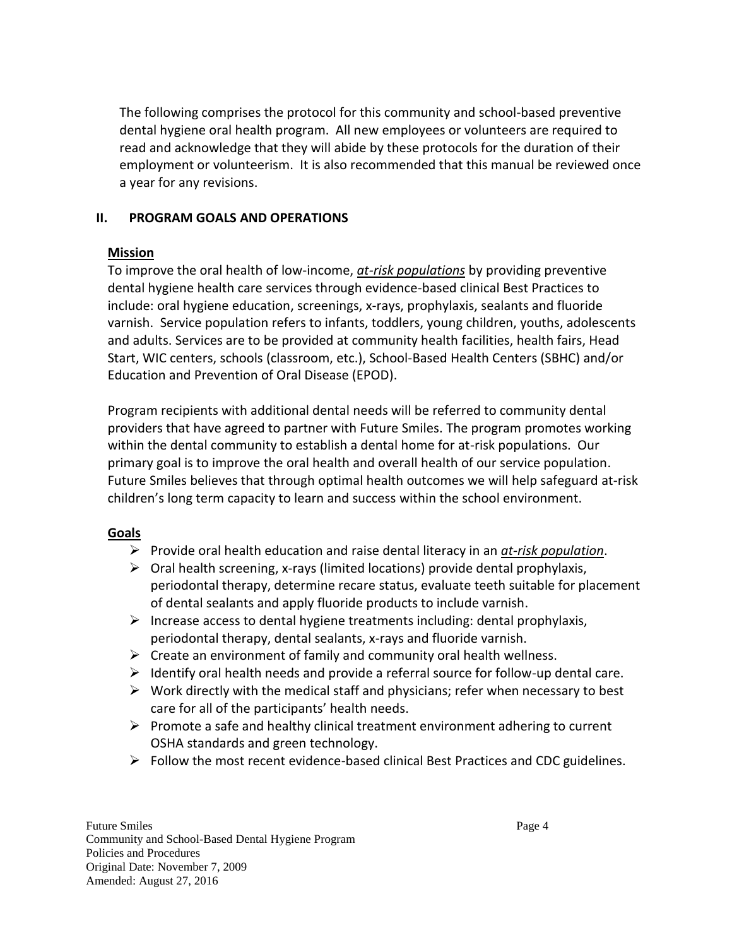The following comprises the protocol for this community and school-based preventive dental hygiene oral health program. All new employees or volunteers are required to read and acknowledge that they will abide by these protocols for the duration of their employment or volunteerism. It is also recommended that this manual be reviewed once a year for any revisions.

# **II. PROGRAM GOALS AND OPERATIONS**

# **Mission**

To improve the oral health of low-income, *at-risk populations* by providing preventive dental hygiene health care services through evidence-based clinical Best Practices to include: oral hygiene education, screenings, x-rays, prophylaxis, sealants and fluoride varnish. Service population refers to infants, toddlers, young children, youths, adolescents and adults. Services are to be provided at community health facilities, health fairs, Head Start, WIC centers, schools (classroom, etc.), School-Based Health Centers (SBHC) and/or Education and Prevention of Oral Disease (EPOD).

Program recipients with additional dental needs will be referred to community dental providers that have agreed to partner with Future Smiles. The program promotes working within the dental community to establish a dental home for at-risk populations. Our primary goal is to improve the oral health and overall health of our service population. Future Smiles believes that through optimal health outcomes we will help safeguard at-risk children's long term capacity to learn and success within the school environment.

# **Goals**

- Provide oral health education and raise dental literacy in an *at-risk population*.
- $\triangleright$  Oral health screening, x-rays (limited locations) provide dental prophylaxis, periodontal therapy, determine recare status, evaluate teeth suitable for placement of dental sealants and apply fluoride products to include varnish.
- Increase access to dental hygiene treatments including: dental prophylaxis, periodontal therapy, dental sealants, x-rays and fluoride varnish.
- $\triangleright$  Create an environment of family and community oral health wellness.
- $\triangleright$  Identify oral health needs and provide a referral source for follow-up dental care.
- $\triangleright$  Work directly with the medical staff and physicians; refer when necessary to best care for all of the participants' health needs.
- $\triangleright$  Promote a safe and healthy clinical treatment environment adhering to current OSHA standards and green technology.
- $\triangleright$  Follow the most recent evidence-based clinical Best Practices and CDC guidelines.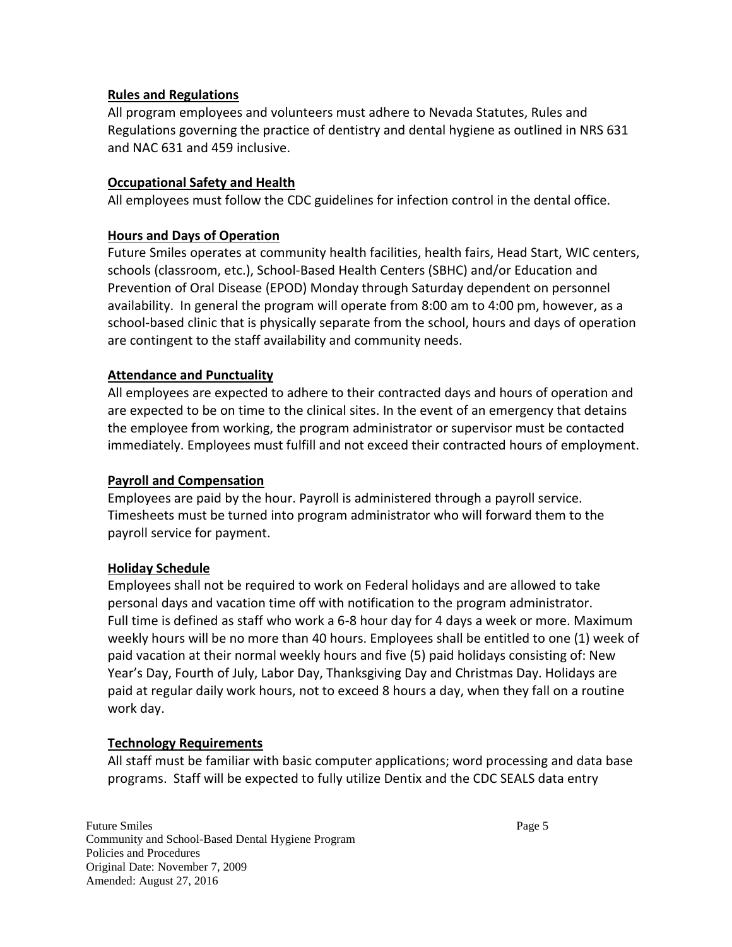## **Rules and Regulations**

All program employees and volunteers must adhere to Nevada Statutes, Rules and Regulations governing the practice of dentistry and dental hygiene as outlined in NRS 631 and NAC 631 and 459 inclusive.

## **Occupational Safety and Health**

All employees must follow the CDC guidelines for infection control in the dental office.

## **Hours and Days of Operation**

Future Smiles operates at community health facilities, health fairs, Head Start, WIC centers, schools (classroom, etc.), School-Based Health Centers (SBHC) and/or Education and Prevention of Oral Disease (EPOD) Monday through Saturday dependent on personnel availability. In general the program will operate from 8:00 am to 4:00 pm, however, as a school-based clinic that is physically separate from the school, hours and days of operation are contingent to the staff availability and community needs.

## **Attendance and Punctuality**

All employees are expected to adhere to their contracted days and hours of operation and are expected to be on time to the clinical sites. In the event of an emergency that detains the employee from working, the program administrator or supervisor must be contacted immediately. Employees must fulfill and not exceed their contracted hours of employment.

#### **Payroll and Compensation**

Employees are paid by the hour. Payroll is administered through a payroll service. Timesheets must be turned into program administrator who will forward them to the payroll service for payment.

#### **Holiday Schedule**

Employees shall not be required to work on Federal holidays and are allowed to take personal days and vacation time off with notification to the program administrator. Full time is defined as staff who work a 6-8 hour day for 4 days a week or more. Maximum weekly hours will be no more than 40 hours. Employees shall be entitled to one (1) week of paid vacation at their normal weekly hours and five (5) paid holidays consisting of: New Year's Day, Fourth of July, Labor Day, Thanksgiving Day and Christmas Day. Holidays are paid at regular daily work hours, not to exceed 8 hours a day, when they fall on a routine work day.

# **Technology Requirements**

All staff must be familiar with basic computer applications; word processing and data base programs. Staff will be expected to fully utilize Dentix and the CDC SEALS data entry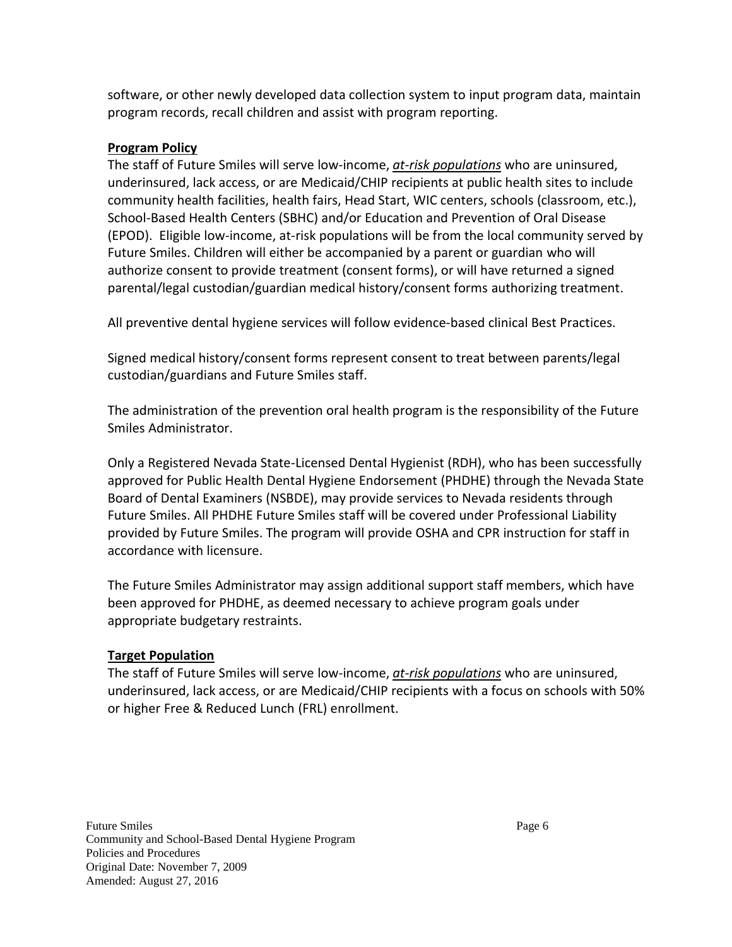software, or other newly developed data collection system to input program data, maintain program records, recall children and assist with program reporting.

# **Program Policy**

The staff of Future Smiles will serve low-income, *at-risk populations* who are uninsured, underinsured, lack access, or are Medicaid/CHIP recipients at public health sites to include community health facilities, health fairs, Head Start, WIC centers, schools (classroom, etc.), School-Based Health Centers (SBHC) and/or Education and Prevention of Oral Disease (EPOD). Eligible low-income, at-risk populations will be from the local community served by Future Smiles. Children will either be accompanied by a parent or guardian who will authorize consent to provide treatment (consent forms), or will have returned a signed parental/legal custodian/guardian medical history/consent forms authorizing treatment.

All preventive dental hygiene services will follow evidence-based clinical Best Practices.

Signed medical history/consent forms represent consent to treat between parents/legal custodian/guardians and Future Smiles staff.

The administration of the prevention oral health program is the responsibility of the Future Smiles Administrator.

Only a Registered Nevada State-Licensed Dental Hygienist (RDH), who has been successfully approved for Public Health Dental Hygiene Endorsement (PHDHE) through the Nevada State Board of Dental Examiners (NSBDE), may provide services to Nevada residents through Future Smiles. All PHDHE Future Smiles staff will be covered under Professional Liability provided by Future Smiles. The program will provide OSHA and CPR instruction for staff in accordance with licensure.

The Future Smiles Administrator may assign additional support staff members, which have been approved for PHDHE, as deemed necessary to achieve program goals under appropriate budgetary restraints.

# **Target Population**

The staff of Future Smiles will serve low-income, *at-risk populations* who are uninsured, underinsured, lack access, or are Medicaid/CHIP recipients with a focus on schools with 50% or higher Free & Reduced Lunch (FRL) enrollment.

Future Smiles Page 6 Community and School-Based Dental Hygiene Program Policies and Procedures Original Date: November 7, 2009 Amended: August 27, 2016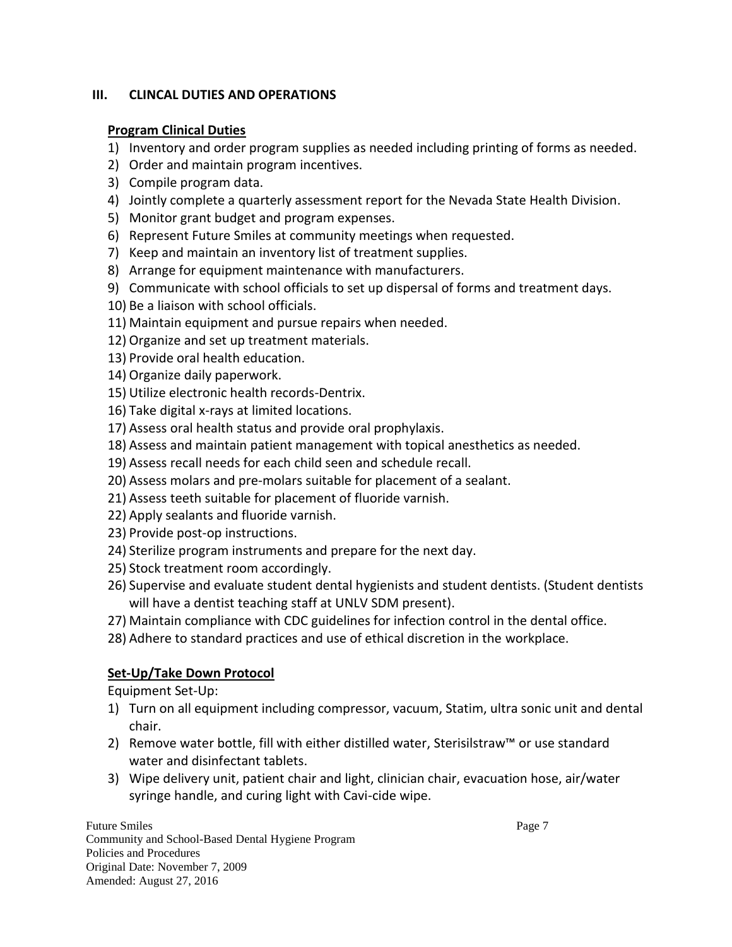## **III. CLINCAL DUTIES AND OPERATIONS**

## **Program Clinical Duties**

- 1) Inventory and order program supplies as needed including printing of forms as needed.
- 2) Order and maintain program incentives.
- 3) Compile program data.
- 4) Jointly complete a quarterly assessment report for the Nevada State Health Division.
- 5) Monitor grant budget and program expenses.
- 6) Represent Future Smiles at community meetings when requested.
- 7) Keep and maintain an inventory list of treatment supplies.
- 8) Arrange for equipment maintenance with manufacturers.
- 9) Communicate with school officials to set up dispersal of forms and treatment days.
- 10) Be a liaison with school officials.
- 11) Maintain equipment and pursue repairs when needed.
- 12) Organize and set up treatment materials.
- 13) Provide oral health education.
- 14) Organize daily paperwork.
- 15) Utilize electronic health records-Dentrix.
- 16) Take digital x-rays at limited locations.
- 17) Assess oral health status and provide oral prophylaxis.
- 18) Assess and maintain patient management with topical anesthetics as needed.
- 19) Assess recall needs for each child seen and schedule recall.
- 20) Assess molars and pre-molars suitable for placement of a sealant.
- 21) Assess teeth suitable for placement of fluoride varnish.
- 22) Apply sealants and fluoride varnish.
- 23) Provide post-op instructions.
- 24) Sterilize program instruments and prepare for the next day.
- 25) Stock treatment room accordingly.
- 26) Supervise and evaluate student dental hygienists and student dentists. (Student dentists will have a dentist teaching staff at UNLV SDM present).
- 27) Maintain compliance with CDC guidelines for infection control in the dental office.
- 28) Adhere to standard practices and use of ethical discretion in the workplace.

# **Set-Up/Take Down Protocol**

Equipment Set-Up:

- 1) Turn on all equipment including compressor, vacuum, Statim, ultra sonic unit and dental chair.
- 2) Remove water bottle, fill with either distilled water, Sterisilstraw™ or use standard water and disinfectant tablets.
- 3) Wipe delivery unit, patient chair and light, clinician chair, evacuation hose, air/water syringe handle, and curing light with Cavi-cide wipe.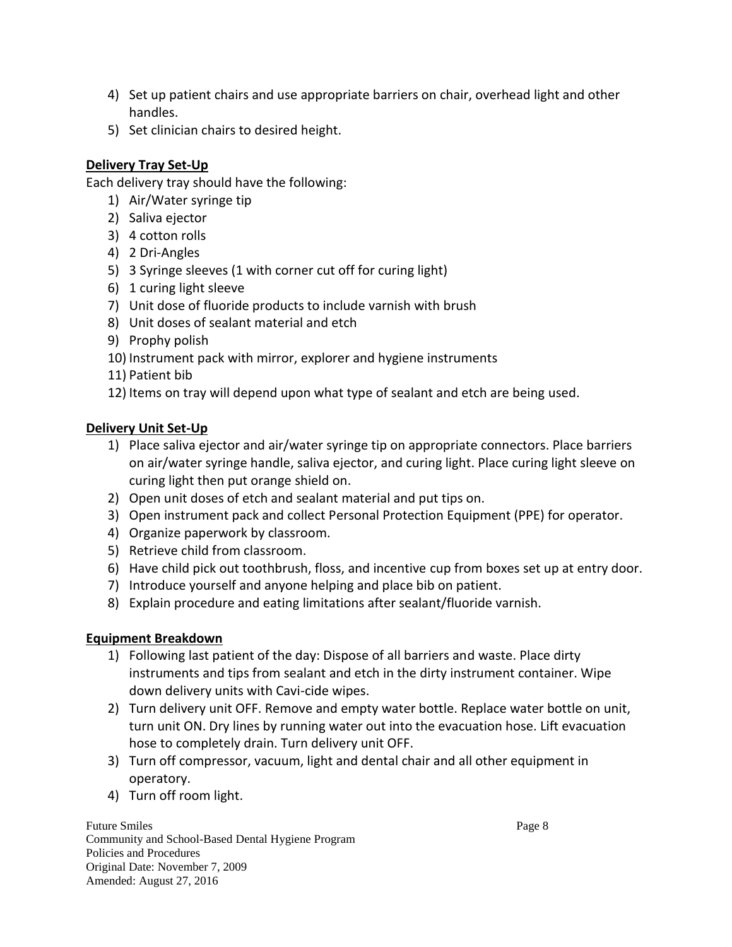- 4) Set up patient chairs and use appropriate barriers on chair, overhead light and other handles.
- 5) Set clinician chairs to desired height.

# **Delivery Tray Set-Up**

Each delivery tray should have the following:

- 1) Air/Water syringe tip
- 2) Saliva ejector
- 3) 4 cotton rolls
- 4) 2 Dri-Angles
- 5) 3 Syringe sleeves (1 with corner cut off for curing light)
- 6) 1 curing light sleeve
- 7) Unit dose of fluoride products to include varnish with brush
- 8) Unit doses of sealant material and etch
- 9) Prophy polish
- 10) Instrument pack with mirror, explorer and hygiene instruments
- 11) Patient bib
- 12) Items on tray will depend upon what type of sealant and etch are being used.

# **Delivery Unit Set-Up**

- 1) Place saliva ejector and air/water syringe tip on appropriate connectors. Place barriers on air/water syringe handle, saliva ejector, and curing light. Place curing light sleeve on curing light then put orange shield on.
- 2) Open unit doses of etch and sealant material and put tips on.
- 3) Open instrument pack and collect Personal Protection Equipment (PPE) for operator.
- 4) Organize paperwork by classroom.
- 5) Retrieve child from classroom.
- 6) Have child pick out toothbrush, floss, and incentive cup from boxes set up at entry door.
- 7) Introduce yourself and anyone helping and place bib on patient.
- 8) Explain procedure and eating limitations after sealant/fluoride varnish.

# **Equipment Breakdown**

- 1) Following last patient of the day: Dispose of all barriers and waste. Place dirty instruments and tips from sealant and etch in the dirty instrument container. Wipe down delivery units with Cavi-cide wipes.
- 2) Turn delivery unit OFF. Remove and empty water bottle. Replace water bottle on unit, turn unit ON. Dry lines by running water out into the evacuation hose. Lift evacuation hose to completely drain. Turn delivery unit OFF.
- 3) Turn off compressor, vacuum, light and dental chair and all other equipment in operatory.
- 4) Turn off room light.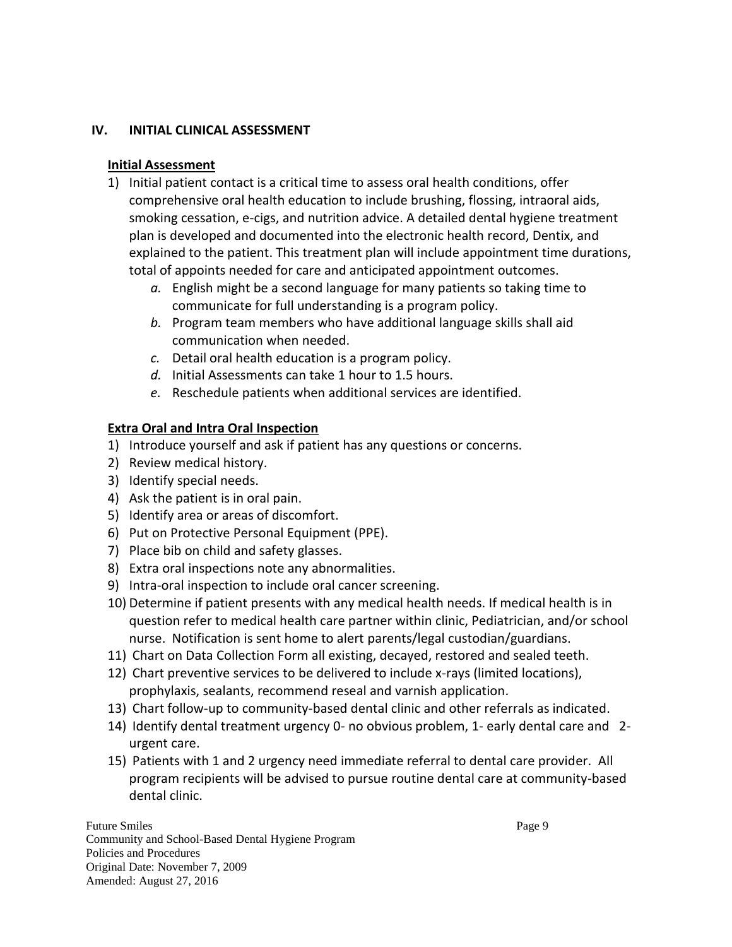## **IV. INITIAL CLINICAL ASSESSMENT**

## **Initial Assessment**

- 1) Initial patient contact is a critical time to assess oral health conditions, offer comprehensive oral health education to include brushing, flossing, intraoral aids, smoking cessation, e-cigs, and nutrition advice. A detailed dental hygiene treatment plan is developed and documented into the electronic health record, Dentix, and explained to the patient. This treatment plan will include appointment time durations, total of appoints needed for care and anticipated appointment outcomes.
	- *a.* English might be a second language for many patients so taking time to communicate for full understanding is a program policy.
	- *b.* Program team members who have additional language skills shall aid communication when needed.
	- *c.* Detail oral health education is a program policy.
	- *d.* Initial Assessments can take 1 hour to 1.5 hours.
	- *e.* Reschedule patients when additional services are identified.

# **Extra Oral and Intra Oral Inspection**

- 1) Introduce yourself and ask if patient has any questions or concerns.
- 2) Review medical history.
- 3) Identify special needs.
- 4) Ask the patient is in oral pain.
- 5) Identify area or areas of discomfort.
- 6) Put on Protective Personal Equipment (PPE).
- 7) Place bib on child and safety glasses.
- 8) Extra oral inspections note any abnormalities.
- 9) Intra-oral inspection to include oral cancer screening.
- 10) Determine if patient presents with any medical health needs. If medical health is in question refer to medical health care partner within clinic, Pediatrician, and/or school nurse. Notification is sent home to alert parents/legal custodian/guardians.
- 11) Chart on Data Collection Form all existing, decayed, restored and sealed teeth.
- 12) Chart preventive services to be delivered to include x-rays (limited locations), prophylaxis, sealants, recommend reseal and varnish application.
- 13) Chart follow-up to community-based dental clinic and other referrals as indicated.
- 14) Identify dental treatment urgency 0- no obvious problem, 1- early dental care and 2 urgent care.
- 15) Patients with 1 and 2 urgency need immediate referral to dental care provider. All program recipients will be advised to pursue routine dental care at community-based dental clinic.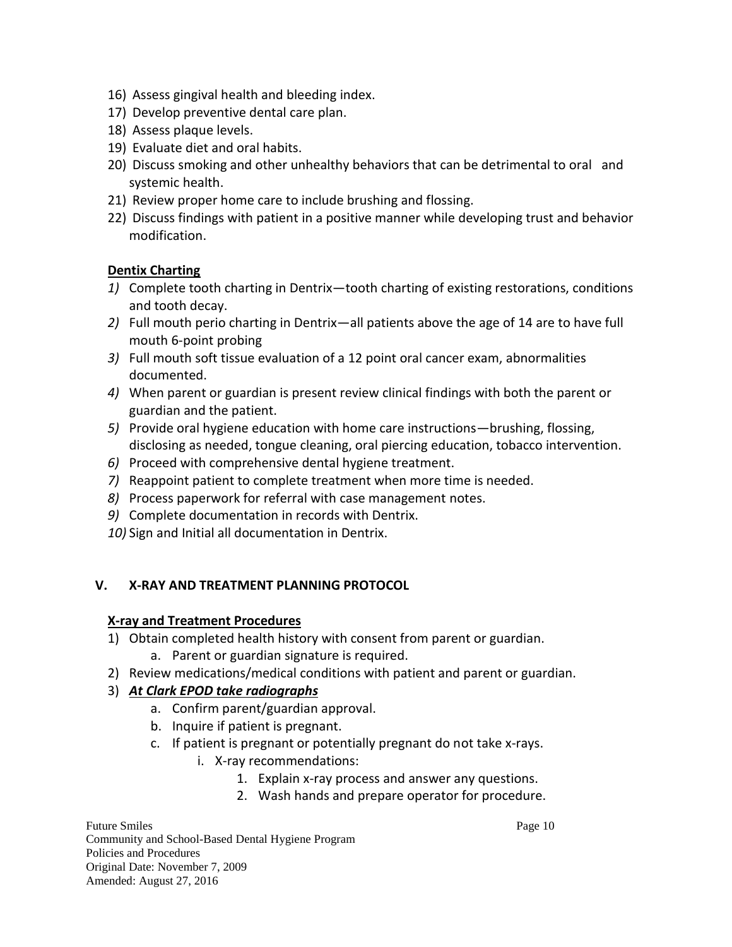- 16) Assess gingival health and bleeding index.
- 17) Develop preventive dental care plan.
- 18) Assess plaque levels.
- 19) Evaluate diet and oral habits.
- 20) Discuss smoking and other unhealthy behaviors that can be detrimental to oral and systemic health.
- 21) Review proper home care to include brushing and flossing.
- 22) Discuss findings with patient in a positive manner while developing trust and behavior modification.

## **Dentix Charting**

- *1)* Complete tooth charting in Dentrix—tooth charting of existing restorations, conditions and tooth decay.
- *2)* Full mouth perio charting in Dentrix—all patients above the age of 14 are to have full mouth 6-point probing
- *3)* Full mouth soft tissue evaluation of a 12 point oral cancer exam, abnormalities documented.
- *4)* When parent or guardian is present review clinical findings with both the parent or guardian and the patient.
- *5)* Provide oral hygiene education with home care instructions—brushing, flossing, disclosing as needed, tongue cleaning, oral piercing education, tobacco intervention.
- *6)* Proceed with comprehensive dental hygiene treatment.
- *7)* Reappoint patient to complete treatment when more time is needed.
- *8)* Process paperwork for referral with case management notes.
- *9)* Complete documentation in records with Dentrix.
- *10)* Sign and Initial all documentation in Dentrix.

# **V. X-RAY AND TREATMENT PLANNING PROTOCOL**

#### **X-ray and Treatment Procedures**

- 1) Obtain completed health history with consent from parent or guardian.
	- a. Parent or guardian signature is required.
- 2) Review medications/medical conditions with patient and parent or guardian.

# 3) *At Clark EPOD take radiographs*

- a. Confirm parent/guardian approval.
- b. Inquire if patient is pregnant.
- c. If patient is pregnant or potentially pregnant do not take x-rays.
	- i. X-ray recommendations:
		- 1. Explain x-ray process and answer any questions.
		- 2. Wash hands and prepare operator for procedure.

Future Smiles Page 10 Community and School-Based Dental Hygiene Program Policies and Procedures Original Date: November 7, 2009 Amended: August 27, 2016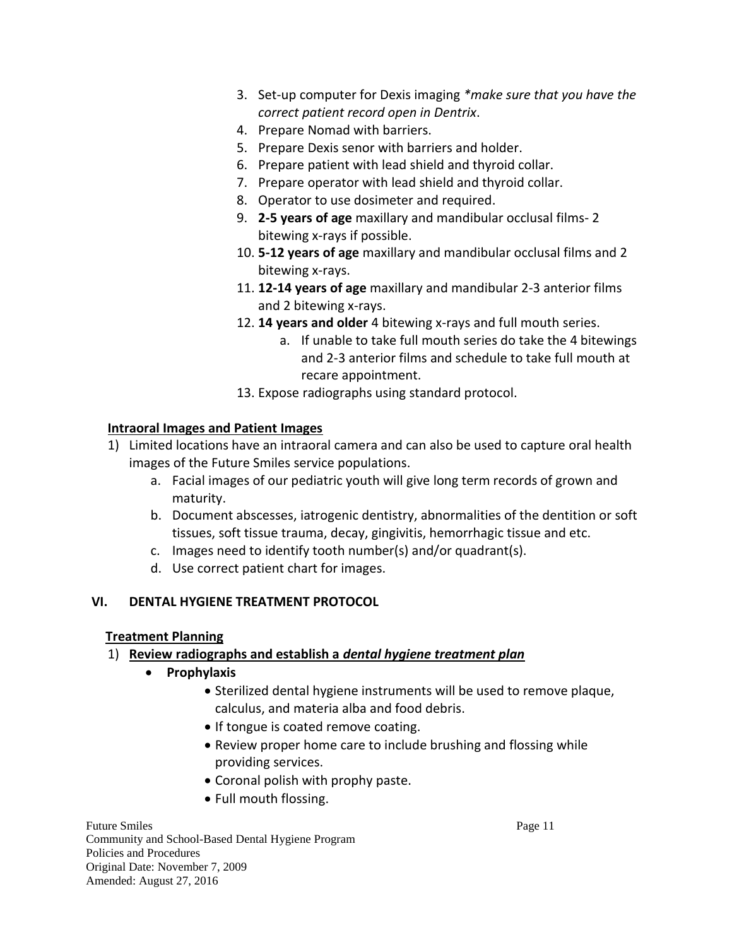- 3. Set-up computer for Dexis imaging *\*make sure that you have the correct patient record open in Dentrix*.
- 4. Prepare Nomad with barriers.
- 5. Prepare Dexis senor with barriers and holder.
- 6. Prepare patient with lead shield and thyroid collar.
- 7. Prepare operator with lead shield and thyroid collar.
- 8. Operator to use dosimeter and required.
- 9. **2-5 years of age** maxillary and mandibular occlusal films- 2 bitewing x-rays if possible.
- 10. **5-12 years of age** maxillary and mandibular occlusal films and 2 bitewing x-rays.
- 11. **12-14 years of age** maxillary and mandibular 2-3 anterior films and 2 bitewing x-rays.
- 12. **14 years and older** 4 bitewing x-rays and full mouth series.
	- a. If unable to take full mouth series do take the 4 bitewings and 2-3 anterior films and schedule to take full mouth at recare appointment.
- 13. Expose radiographs using standard protocol.

# **Intraoral Images and Patient Images**

- 1) Limited locations have an intraoral camera and can also be used to capture oral health images of the Future Smiles service populations.
	- a. Facial images of our pediatric youth will give long term records of grown and maturity.
	- b. Document abscesses, iatrogenic dentistry, abnormalities of the dentition or soft tissues, soft tissue trauma, decay, gingivitis, hemorrhagic tissue and etc.
	- c. Images need to identify tooth number(s) and/or quadrant(s).
	- d. Use correct patient chart for images.

# **VI. DENTAL HYGIENE TREATMENT PROTOCOL**

# **Treatment Planning**

# 1) **Review radiographs and establish a** *dental hygiene treatment plan*

- **•** Prophylaxis
	- Sterilized dental hygiene instruments will be used to remove plaque, calculus, and materia alba and food debris.
	- If tongue is coated remove coating.
	- Review proper home care to include brushing and flossing while providing services.
	- Coronal polish with prophy paste.
	- Full mouth flossing.

Future Smiles Page 11 Community and School-Based Dental Hygiene Program Policies and Procedures Original Date: November 7, 2009 Amended: August 27, 2016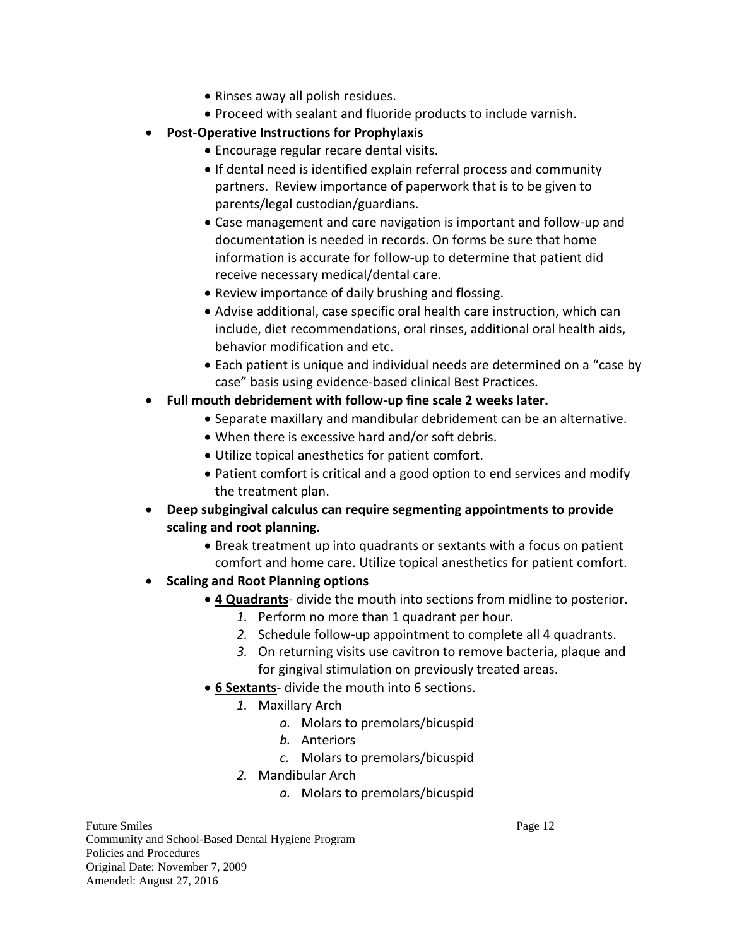- Rinses away all polish residues.
- Proceed with sealant and fluoride products to include varnish.
- **Post-Operative Instructions for Prophylaxis**
	- Encourage regular recare dental visits.
	- If dental need is identified explain referral process and community partners. Review importance of paperwork that is to be given to parents/legal custodian/guardians.
	- Case management and care navigation is important and follow-up and documentation is needed in records. On forms be sure that home information is accurate for follow-up to determine that patient did receive necessary medical/dental care.
	- Review importance of daily brushing and flossing.
	- Advise additional, case specific oral health care instruction, which can include, diet recommendations, oral rinses, additional oral health aids, behavior modification and etc.
	- Each patient is unique and individual needs are determined on a "case by case" basis using evidence-based clinical Best Practices.
- **Full mouth debridement with follow-up fine scale 2 weeks later.**
	- Separate maxillary and mandibular debridement can be an alternative.
	- When there is excessive hard and/or soft debris.
	- Utilize topical anesthetics for patient comfort.
	- Patient comfort is critical and a good option to end services and modify the treatment plan.
- **Deep subgingival calculus can require segmenting appointments to provide scaling and root planning.** 
	- Break treatment up into quadrants or sextants with a focus on patient comfort and home care. Utilize topical anesthetics for patient comfort.
- **•** Scaling and Root Planning options
	- **4 Quadrants** divide the mouth into sections from midline to posterior.
		- *1.* Perform no more than 1 quadrant per hour.
		- *2.* Schedule follow-up appointment to complete all 4 quadrants.
		- *3.* On returning visits use cavitron to remove bacteria, plaque and for gingival stimulation on previously treated areas.
	- **6 Sextants** divide the mouth into 6 sections.
		- *1.* Maxillary Arch
			- *a.* Molars to premolars/bicuspid
			- *b.* Anteriors
			- *c.* Molars to premolars/bicuspid
		- *2.* Mandibular Arch
			- *a.* Molars to premolars/bicuspid

Future Smiles Page 12 Community and School-Based Dental Hygiene Program Policies and Procedures Original Date: November 7, 2009 Amended: August 27, 2016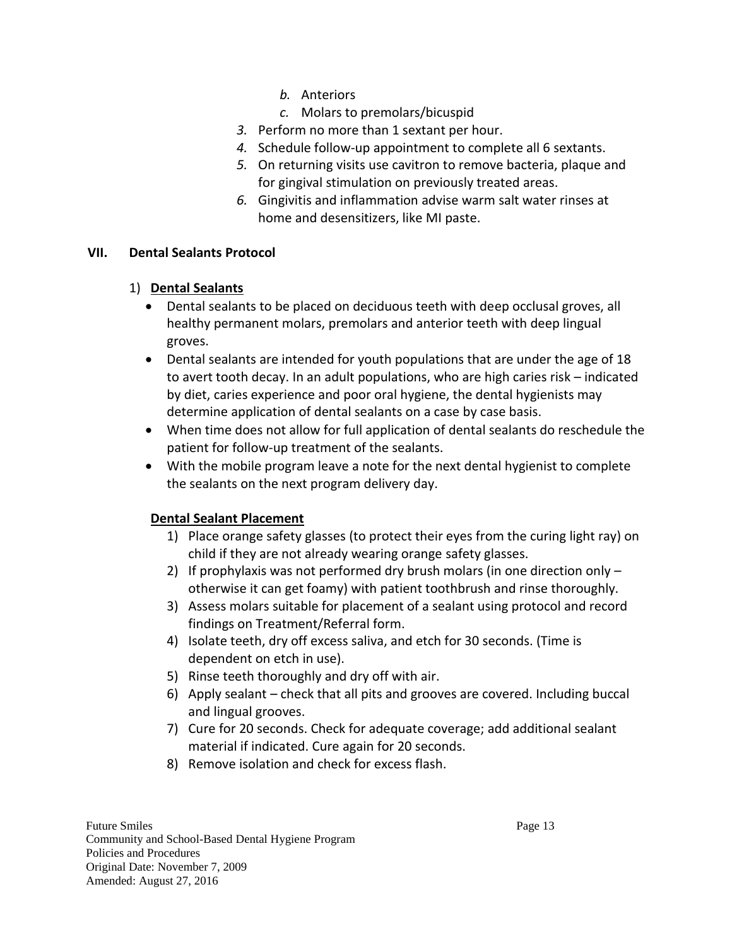- *b.* Anteriors
- *c.* Molars to premolars/bicuspid
- *3.* Perform no more than 1 sextant per hour.
- *4.* Schedule follow-up appointment to complete all 6 sextants.
- *5.* On returning visits use cavitron to remove bacteria, plaque and for gingival stimulation on previously treated areas.
- *6.* Gingivitis and inflammation advise warm salt water rinses at home and desensitizers, like MI paste.

## **VII. Dental Sealants Protocol**

# 1) **Dental Sealants**

- Dental sealants to be placed on deciduous teeth with deep occlusal groves, all healthy permanent molars, premolars and anterior teeth with deep lingual groves.
- Dental sealants are intended for youth populations that are under the age of 18 to avert tooth decay. In an adult populations, who are high caries risk – indicated by diet, caries experience and poor oral hygiene, the dental hygienists may determine application of dental sealants on a case by case basis.
- When time does not allow for full application of dental sealants do reschedule the patient for follow-up treatment of the sealants.
- With the mobile program leave a note for the next dental hygienist to complete the sealants on the next program delivery day.

# **Dental Sealant Placement**

- 1) Place orange safety glasses (to protect their eyes from the curing light ray) on child if they are not already wearing orange safety glasses.
- 2) If prophylaxis was not performed dry brush molars (in one direction only otherwise it can get foamy) with patient toothbrush and rinse thoroughly.
- 3) Assess molars suitable for placement of a sealant using protocol and record findings on Treatment/Referral form.
- 4) Isolate teeth, dry off excess saliva, and etch for 30 seconds. (Time is dependent on etch in use).
- 5) Rinse teeth thoroughly and dry off with air.
- 6) Apply sealant check that all pits and grooves are covered. Including buccal and lingual grooves.
- 7) Cure for 20 seconds. Check for adequate coverage; add additional sealant material if indicated. Cure again for 20 seconds.
- 8) Remove isolation and check for excess flash.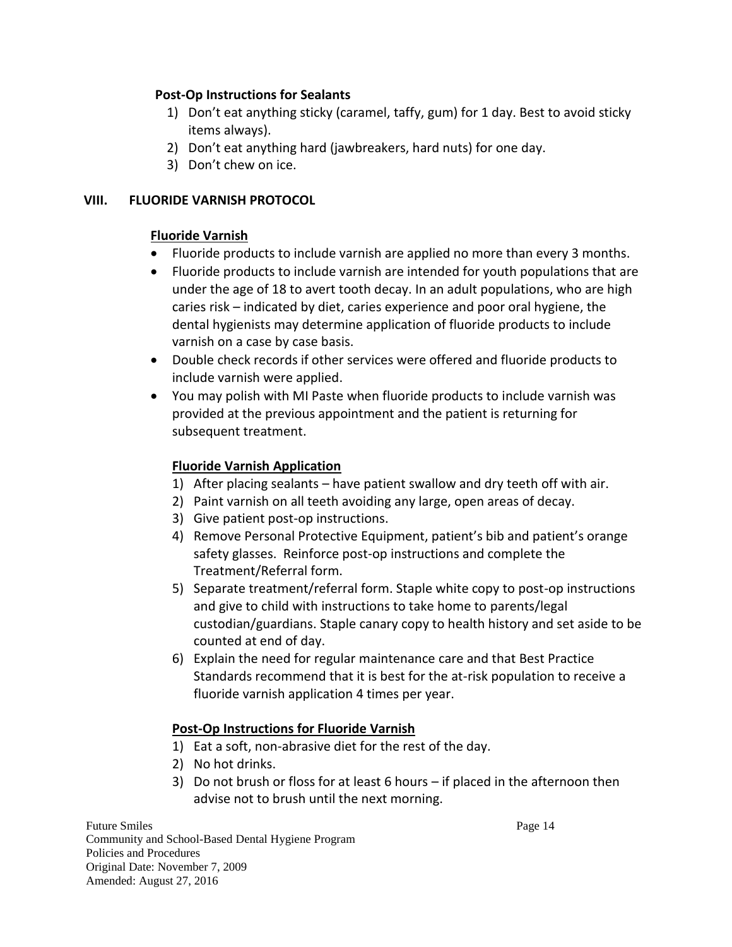## **Post-Op Instructions for Sealants**

- 1) Don't eat anything sticky (caramel, taffy, gum) for 1 day. Best to avoid sticky items always).
- 2) Don't eat anything hard (jawbreakers, hard nuts) for one day.
- 3) Don't chew on ice.

## **VIII. FLUORIDE VARNISH PROTOCOL**

# **Fluoride Varnish**

- Fluoride products to include varnish are applied no more than every 3 months.
- Fluoride products to include varnish are intended for youth populations that are under the age of 18 to avert tooth decay. In an adult populations, who are high caries risk – indicated by diet, caries experience and poor oral hygiene, the dental hygienists may determine application of fluoride products to include varnish on a case by case basis.
- Double check records if other services were offered and fluoride products to include varnish were applied.
- You may polish with MI Paste when fluoride products to include varnish was provided at the previous appointment and the patient is returning for subsequent treatment.

# **Fluoride Varnish Application**

- 1) After placing sealants have patient swallow and dry teeth off with air.
- 2) Paint varnish on all teeth avoiding any large, open areas of decay.
- 3) Give patient post-op instructions.
- 4) Remove Personal Protective Equipment, patient's bib and patient's orange safety glasses. Reinforce post-op instructions and complete the Treatment/Referral form.
- 5) Separate treatment/referral form. Staple white copy to post-op instructions and give to child with instructions to take home to parents/legal custodian/guardians. Staple canary copy to health history and set aside to be counted at end of day.
- 6) Explain the need for regular maintenance care and that Best Practice Standards recommend that it is best for the at-risk population to receive a fluoride varnish application 4 times per year.

# **Post-Op Instructions for Fluoride Varnish**

- 1) Eat a soft, non-abrasive diet for the rest of the day.
- 2) No hot drinks.
- 3) Do not brush or floss for at least 6 hours if placed in the afternoon then advise not to brush until the next morning.

Future Smiles Page 14 Community and School-Based Dental Hygiene Program Policies and Procedures Original Date: November 7, 2009 Amended: August 27, 2016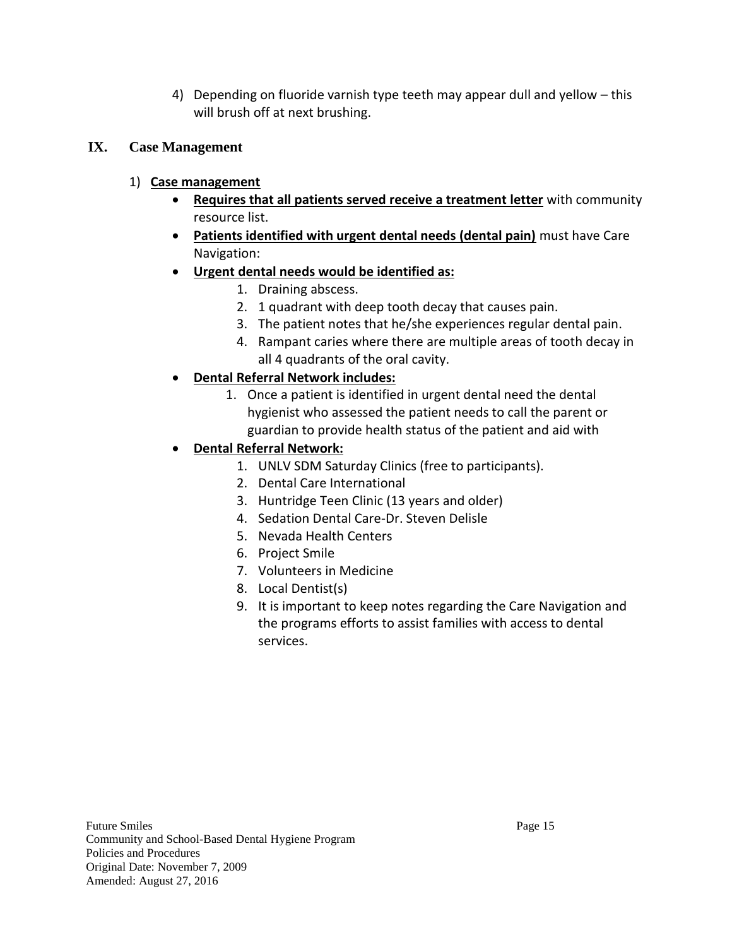4) Depending on fluoride varnish type teeth may appear dull and yellow – this will brush off at next brushing.

# **IX. Case Management**

- 1) **Case management**
	- **Requires that all patients served receive a treatment letter** with community resource list.
	- **Patients identified with urgent dental needs (dental pain)** must have Care Navigation:
	- **Urgent dental needs would be identified as:**
		- 1. Draining abscess.
		- 2. 1 quadrant with deep tooth decay that causes pain.
		- 3. The patient notes that he/she experiences regular dental pain.
		- 4. Rampant caries where there are multiple areas of tooth decay in all 4 quadrants of the oral cavity.

# **Dental Referral Network includes:**

- 1. Once a patient is identified in urgent dental need the dental hygienist who assessed the patient needs to call the parent or guardian to provide health status of the patient and aid with
- **Dental Referral Network:**
	- 1. UNLV SDM Saturday Clinics (free to participants).
	- 2. Dental Care International
	- 3. Huntridge Teen Clinic (13 years and older)
	- 4. Sedation Dental Care-Dr. Steven Delisle
	- 5. Nevada Health Centers
	- 6. Project Smile
	- 7. Volunteers in Medicine
	- 8. Local Dentist(s)
	- 9. It is important to keep notes regarding the Care Navigation and the programs efforts to assist families with access to dental services.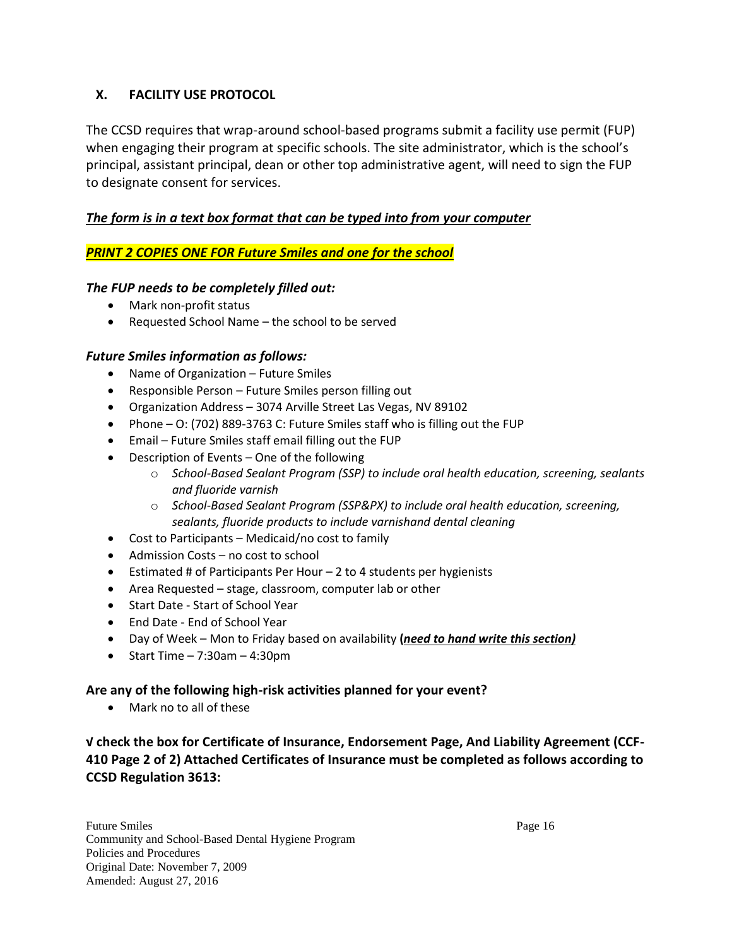# **X. FACILITY USE PROTOCOL**

The CCSD requires that wrap-around school-based programs submit a facility use permit (FUP) when engaging their program at specific schools. The site administrator, which is the school's principal, assistant principal, dean or other top administrative agent, will need to sign the FUP to designate consent for services.

# *The form is in a text box format that can be typed into from your computer*

# *PRINT 2 COPIES ONE FOR Future Smiles and one for the school*

# *The FUP needs to be completely filled out:*

- Mark non-profit status
- Requested School Name the school to be served

## *Future Smiles information as follows:*

- Name of Organization Future Smiles
- Responsible Person Future Smiles person filling out
- Organization Address 3074 Arville Street Las Vegas, NV 89102
- Phone O: (702) 889-3763 C: Future Smiles staff who is filling out the FUP
- Email Future Smiles staff email filling out the FUP
- Description of Events One of the following
	- o *School-Based Sealant Program (SSP) to include oral health education, screening, sealants and fluoride varnish*
	- o *School-Based Sealant Program (SSP&PX) to include oral health education, screening, sealants, fluoride products to include varnishand dental cleaning*
- Cost to Participants Medicaid/no cost to family
- Admission Costs no cost to school
- Estimated # of Participants Per Hour  $-2$  to 4 students per hygienists
- Area Requested stage, classroom, computer lab or other
- Start Date Start of School Year
- End Date End of School Year
- Day of Week Mon to Friday based on availability **(***need to hand write this section)*
- $\bullet$  Start Time 7:30am 4:30pm

#### **Are any of the following high-risk activities planned for your event?**

Mark no to all of these

**√ check the box for Certificate of Insurance, Endorsement Page, And Liability Agreement (CCF-410 Page 2 of 2) Attached Certificates of Insurance must be completed as follows according to CCSD Regulation 3613:**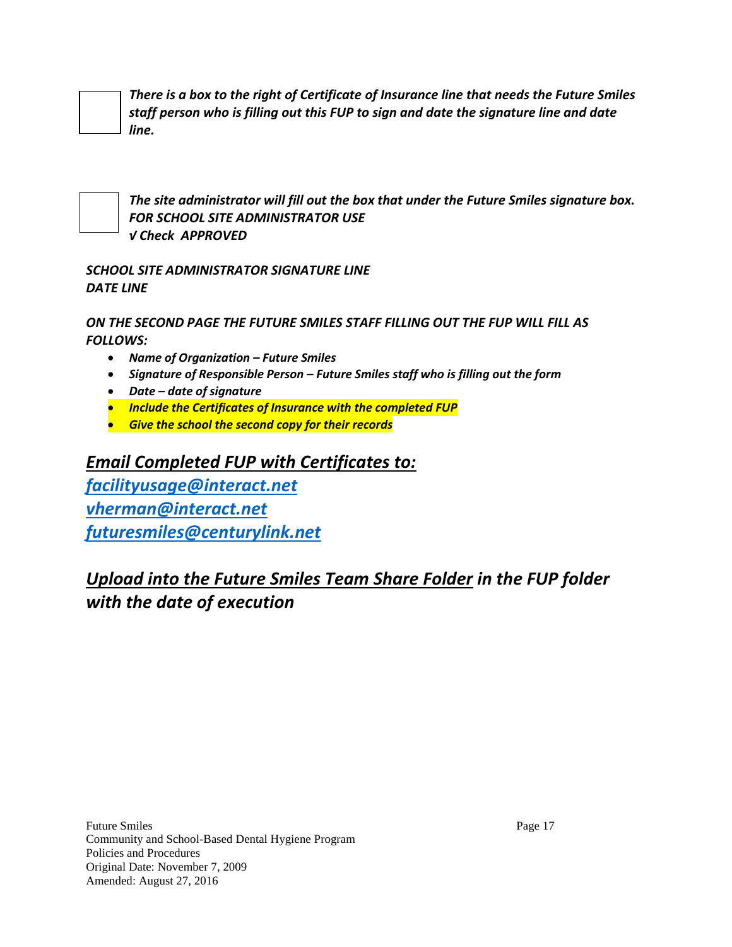*There is a box to the right of Certificate of Insurance line that needs the Future Smiles staff person who is filling out this FUP to sign and date the signature line and date line.*



*The site administrator will fill out the box that under the Future Smiles signature box. FOR SCHOOL SITE ADMINISTRATOR USE √ Check APPROVED*

# *SCHOOL SITE ADMINISTRATOR SIGNATURE LINE DATE LINE*

*ON THE SECOND PAGE THE FUTURE SMILES STAFF FILLING OUT THE FUP WILL FILL AS FOLLOWS:*

- *Name of Organization – Future Smiles*
- *Signature of Responsible Person – Future Smiles staff who is filling out the form*
- *Date – date of signature*
- *Include the Certificates of Insurance with the completed FUP*
- *Give the school the second copy for their records*

# *Email Completed FUP with Certificates to:*

*[facilityusage@interact.net](mailto:facilityusage@interact.net) [vherman@interact.net](mailto:vherman@interact.net) [futuresmiles@centurylink.net](mailto:futuresmiles@centurylink.net)*

*Upload into the Future Smiles Team Share Folder in the FUP folder with the date of execution*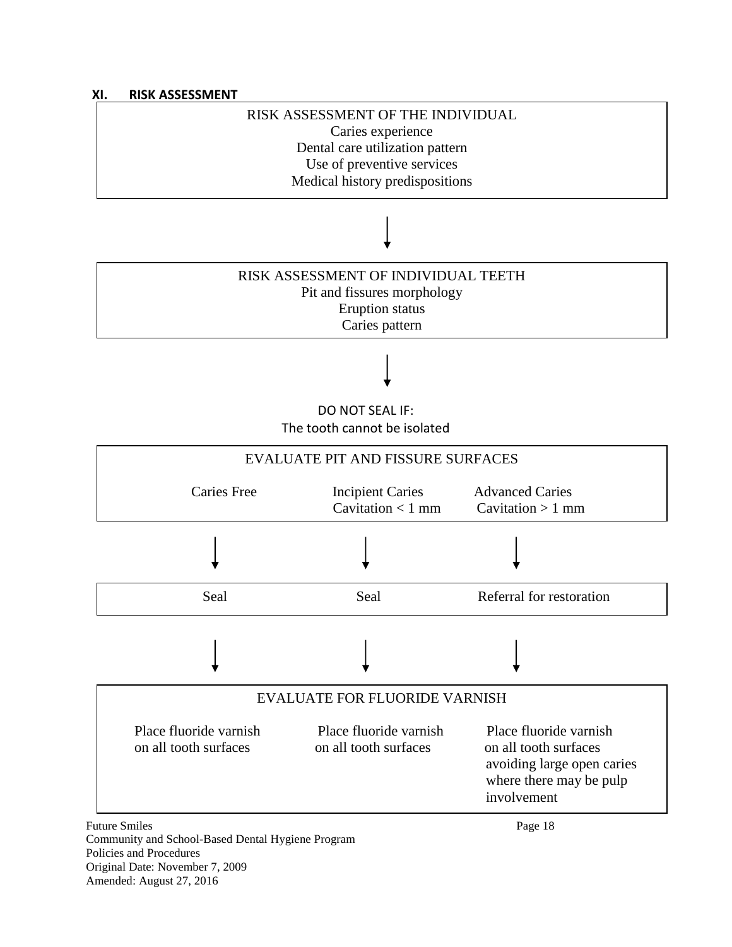

Policies and Procedures Original Date: November 7, 2009

Amended: August 27, 2016